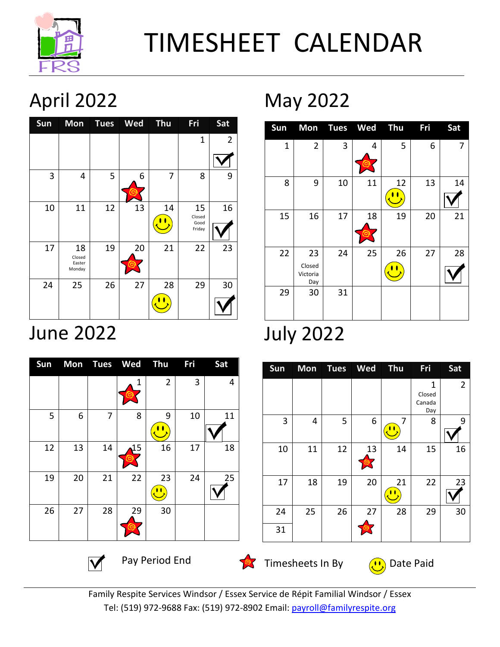

# TIMESHEET CALENDAR

## April 2022

| Sun |                                  |    | Mon Tues Wed Thu |    | Fri                            | Sat            |
|-----|----------------------------------|----|------------------|----|--------------------------------|----------------|
|     |                                  |    |                  |    | $\mathbf 1$                    | $\overline{2}$ |
|     |                                  |    |                  |    |                                |                |
| 3   | 4                                | 5  | 6                | 7  | 8                              | 9              |
| 10  | 11                               | 12 | 13               | 14 | 15<br>Closed<br>Good<br>Friday | 16             |
| 17  | 18<br>Closed<br>Easter<br>Monday | 19 | 20               | 21 | 22                             | 23             |
| 24  | 25                               | 26 | 27               | 28 | 29                             | 30             |

### June 2022

| Sun |    |    | Mon Tues Wed Thu |                | Fri | Sat |
|-----|----|----|------------------|----------------|-----|-----|
|     |    |    | 1                | $\overline{2}$ | 3   | 4   |
| 5   | 6  | 7  | 8                | 9              | 10  | 11  |
| 12  | 13 | 14 | 15               | 16             | 17  | 18  |
| 19  | 20 | 21 | 22               | 23             | 24  | 25  |
| 26  | 27 | 28 | 29               | 30             |     |     |

May 2022

| $S$ un       |                                 |    | Mon Tues Wed Thu |    | <b>Fri</b> | Sat |
|--------------|---------------------------------|----|------------------|----|------------|-----|
| $\mathbf{1}$ | $\overline{2}$                  | 3  | 4                | 5  | 6          | 7   |
| 8            | 9                               | 10 | 11               | 12 | 13         | 14  |
| 15           | 16                              | 17 | 18               | 19 | 20         | 21  |
| 22           | 23<br>Closed<br>Victoria<br>Day | 24 | 25               | 26 | 27         | 28  |
| 29           | 30                              | 31 |                  |    |            |     |

### July 2022

| $\mathbf{1}$<br>Closed<br>Canada<br>Day<br>3<br>5<br>6<br>4<br>7<br>8<br>$\mathbf{\mathbf{u}}$<br>12<br>10<br>11<br>14<br>15<br>13<br>22<br>19<br>20<br>18<br>17<br>21 |  | Sun Mon Tues Wed Thu |  | <b>Fri</b> | Sat            |
|------------------------------------------------------------------------------------------------------------------------------------------------------------------------|--|----------------------|--|------------|----------------|
|                                                                                                                                                                        |  |                      |  |            | $\overline{2}$ |
|                                                                                                                                                                        |  |                      |  |            | 9              |
|                                                                                                                                                                        |  |                      |  |            | 16             |
|                                                                                                                                                                        |  |                      |  |            | 23             |
| 26<br>29<br>24<br>25<br>27<br>28                                                                                                                                       |  |                      |  |            | 30             |
| 31                                                                                                                                                                     |  |                      |  |            |                |



Timesheets In By  $\left( \frac{1}{2} \right)$  Date Paid

Family Respite Services Windsor / Essex Service de Répit Familial Windsor / Essex Tel: (519) 972-9688 Fax: (519) 972-8902 Email: payroll@familyrespite.org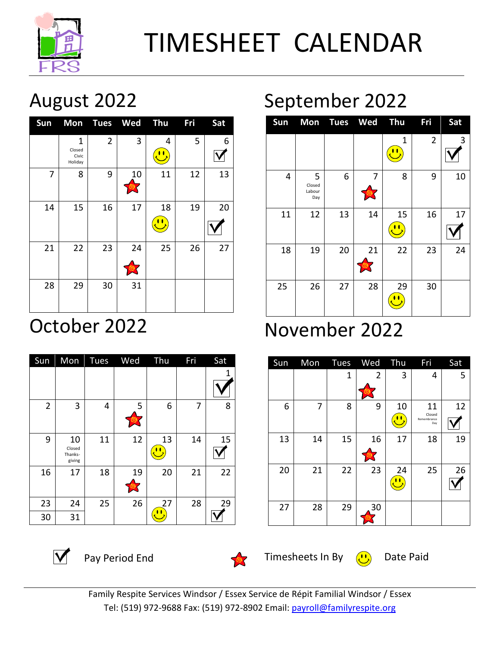

August 2022

| <b>Sun</b> |                                            |                | Mon Tues Wed Thu |    | <b>Fri</b> | Sat |
|------------|--------------------------------------------|----------------|------------------|----|------------|-----|
|            | $\mathbf{1}$<br>Closed<br>Civic<br>Holiday | $\overline{2}$ | 3                | 4  | 5          | 6   |
| 7          | 8                                          | 9              | 10               | 11 | 12         | 13  |
| 14         | 15                                         | 16             | 17               | 18 | 19         | 20  |
| 21         | 22                                         | 23             | 24               | 25 | 26         | 27  |
| 28         | 29                                         | 30             | 31               |    |            |     |

### October 2022

| Sun            | Mon                               | Tues | Wed | Thu | Fri | Sat |
|----------------|-----------------------------------|------|-----|-----|-----|-----|
|                |                                   |      |     |     |     | 1   |
| $\overline{2}$ | 3                                 | 4    | 5   | 6   | 7   | 8   |
| 9              | 10<br>Closed<br>Thanks-<br>giving | 11   | 12  | 13  | 14  | 15  |
| 16             | 17                                | 18   | 19  | 20  | 21  | 22  |
| 23             | 24                                | 25   | 26  | 27  | 28  | 29  |
| 30             | 31                                |      |     |     |     |     |

## September 2022



### November 2022

| Sun |    |    | Mon Tues Wed Thu |    | Fri                                | Sat |
|-----|----|----|------------------|----|------------------------------------|-----|
|     |    | 1  | $\overline{2}$   | 3  | 4                                  | 5   |
| 6   | 7  | 8  | 9                | 10 | 11<br>Closed<br>Remembrance<br>Day | 12  |
| 13  | 14 | 15 | 16               | 17 | 18                                 | 19  |
| 20  | 21 | 22 | 23               | 24 | 25                                 | 26  |
| 27  | 28 | 29 | 30               |    |                                    |     |



 $\overline{V}$  Pay Period End



Timesheets In By  $(1)$  Date Paid

Family Respite Services Windsor / Essex Service de Répit Familial Windsor / Essex Tel: (519) 972-9688 Fax: (519) 972-8902 Email: payroll@familyrespite.org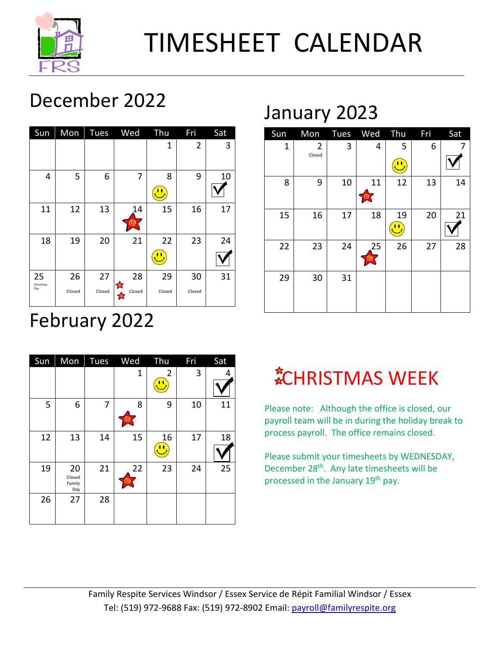

## TIMESHEET CALENDAR

### December 2022

| Sun                    |              | Mon Tues     | Wed Thu                   |              | Fri            | Sat |
|------------------------|--------------|--------------|---------------------------|--------------|----------------|-----|
|                        |              |              |                           | 1            | $\overline{2}$ | 3   |
| 4                      | 5            | 6            | 7                         | 8            | 9              | 10  |
| 11                     | 12           | 13           | 14                        | 15           | 16             | 17  |
| 18                     | 19           | 20           | 21                        | 22           | 23             | 24  |
| 25<br>Christmas<br>Day | 26<br>Closed | 27<br>Closed | 28<br>$\bullet$<br>Closed | 29<br>Closed | 30<br>Closed   | 31  |

### February 2022

| Sun |                               |    | Mon Tues Wed | Thu            | Fri | Sat |
|-----|-------------------------------|----|--------------|----------------|-----|-----|
|     |                               |    | 1            | $\overline{2}$ | 3   | 4   |
| 5   | 6                             | 7  | 8            | 9              | 10  | 11  |
| 12  | 13                            | 14 | 15           | 16             | 17  | 18  |
| 19  | 20<br>Closed<br>Family<br>Day | 21 | 22           | 23             | 24  | 25  |
| 26  | 27                            | 28 |              |                |     |     |

### January 2023

| Sun | Mon            | Tues | Wed | Thu | Fri | Sat |
|-----|----------------|------|-----|-----|-----|-----|
| 1   | $\overline{2}$ | 3    | 4   | 5   | 6   | 7   |
|     | Closed         |      |     | Ľ   |     |     |
| 8   | 9              | 10   | 11  | 12  | 13  | 14  |
| 15  | 16             | 17   | 18  | 19  | 20  | 21  |
| 22  | 23             | 24   | 25  | 26  | 27  | 28  |
| 29  | 30             | 31   |     |     |     |     |

## **ACHRISTMAS WEEK**

Please note: Although the office is closed, our payroll team will be in during the holiday break to process payroll. The office remains closed.

Please submit your timesheets by WEDNESDAY, December 28th. Any late timesheets will be processed in the January 19<sup>th</sup> pay.